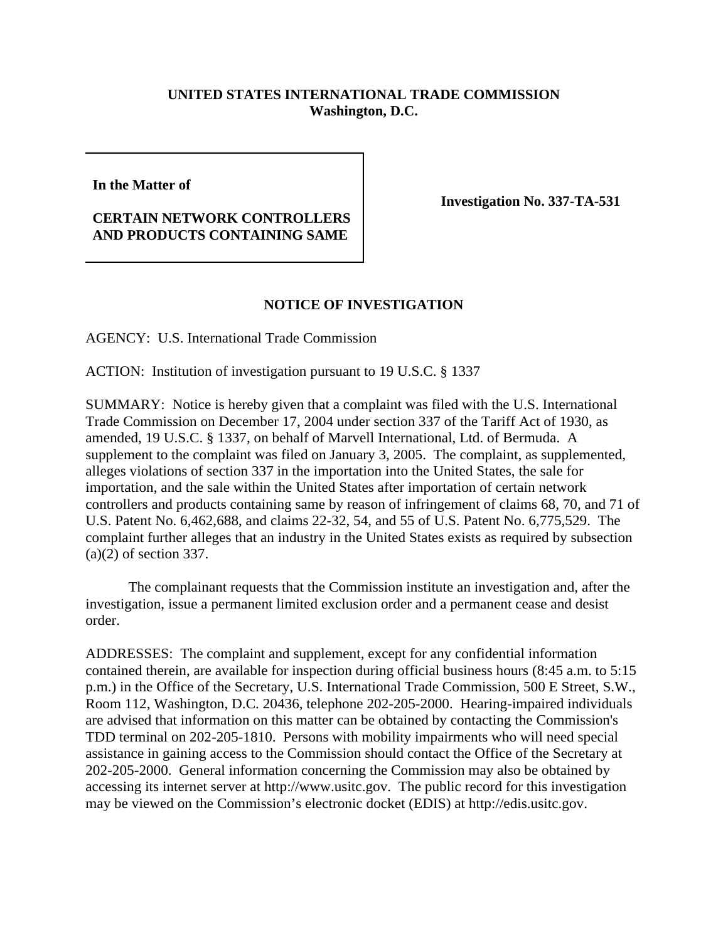## **UNITED STATES INTERNATIONAL TRADE COMMISSION Washington, D.C.**

**In the Matter of**

## **CERTAIN NETWORK CONTROLLERS AND PRODUCTS CONTAINING SAME**

**Investigation No. 337-TA-531** 

## **NOTICE OF INVESTIGATION**

AGENCY: U.S. International Trade Commission

ACTION: Institution of investigation pursuant to 19 U.S.C. § 1337

SUMMARY: Notice is hereby given that a complaint was filed with the U.S. International Trade Commission on December 17, 2004 under section 337 of the Tariff Act of 1930, as amended, 19 U.S.C. § 1337, on behalf of Marvell International, Ltd. of Bermuda. A supplement to the complaint was filed on January 3, 2005. The complaint, as supplemented, alleges violations of section 337 in the importation into the United States, the sale for importation, and the sale within the United States after importation of certain network controllers and products containing same by reason of infringement of claims 68, 70, and 71 of U.S. Patent No. 6,462,688, and claims 22-32, 54, and 55 of U.S. Patent No. 6,775,529. The complaint further alleges that an industry in the United States exists as required by subsection (a)(2) of section 337.

The complainant requests that the Commission institute an investigation and, after the investigation, issue a permanent limited exclusion order and a permanent cease and desist order.

ADDRESSES: The complaint and supplement, except for any confidential information contained therein, are available for inspection during official business hours (8:45 a.m. to 5:15 p.m.) in the Office of the Secretary, U.S. International Trade Commission, 500 E Street, S.W., Room 112, Washington, D.C. 20436, telephone 202-205-2000. Hearing-impaired individuals are advised that information on this matter can be obtained by contacting the Commission's TDD terminal on 202-205-1810. Persons with mobility impairments who will need special assistance in gaining access to the Commission should contact the Office of the Secretary at 202-205-2000. General information concerning the Commission may also be obtained by accessing its internet server at http://www.usitc.gov. The public record for this investigation may be viewed on the Commission's electronic docket (EDIS) at http://edis.usitc.gov.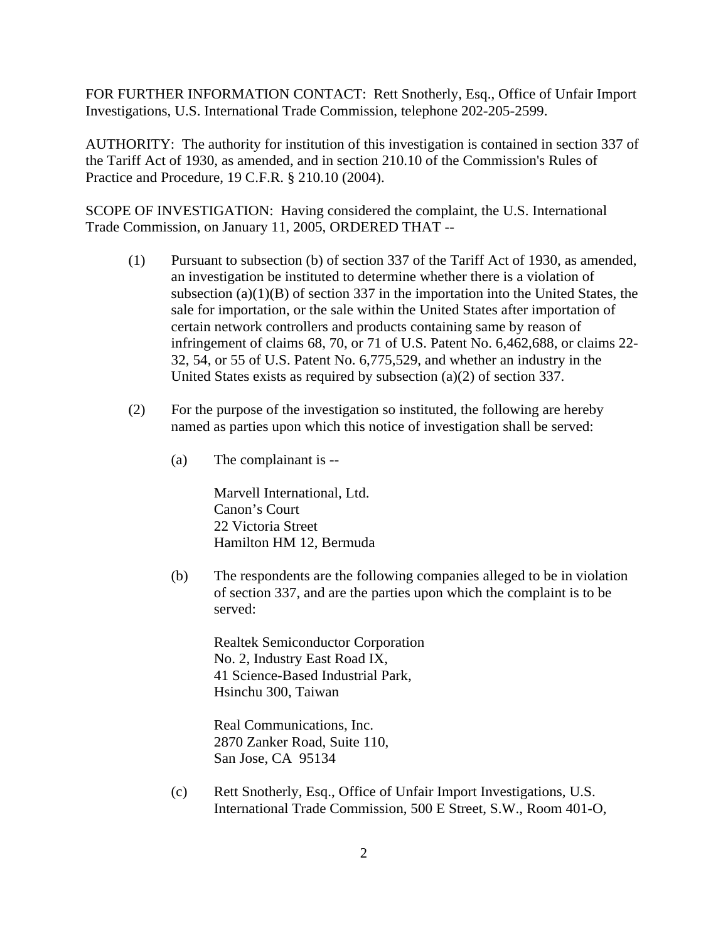FOR FURTHER INFORMATION CONTACT: Rett Snotherly, Esq., Office of Unfair Import Investigations, U.S. International Trade Commission, telephone 202-205-2599.

AUTHORITY: The authority for institution of this investigation is contained in section 337 of the Tariff Act of 1930, as amended, and in section 210.10 of the Commission's Rules of Practice and Procedure, 19 C.F.R. § 210.10 (2004).

SCOPE OF INVESTIGATION: Having considered the complaint, the U.S. International Trade Commission, on January 11, 2005, ORDERED THAT --

- (1) Pursuant to subsection (b) of section 337 of the Tariff Act of 1930, as amended, an investigation be instituted to determine whether there is a violation of subsection  $(a)(1)(B)$  of section 337 in the importation into the United States, the sale for importation, or the sale within the United States after importation of certain network controllers and products containing same by reason of infringement of claims 68, 70, or 71 of U.S. Patent No. 6,462,688, or claims 22- 32, 54, or 55 of U.S. Patent No. 6,775,529, and whether an industry in the United States exists as required by subsection (a)(2) of section 337.
- (2) For the purpose of the investigation so instituted, the following are hereby named as parties upon which this notice of investigation shall be served:
	- (a) The complainant is --

Marvell International, Ltd. Canon's Court 22 Victoria Street Hamilton HM 12, Bermuda

(b) The respondents are the following companies alleged to be in violation of section 337, and are the parties upon which the complaint is to be served:

Realtek Semiconductor Corporation No. 2, Industry East Road IX, 41 Science-Based Industrial Park, Hsinchu 300, Taiwan

Real Communications, Inc. 2870 Zanker Road, Suite 110, San Jose, CA 95134

(c) Rett Snotherly, Esq., Office of Unfair Import Investigations, U.S. International Trade Commission, 500 E Street, S.W., Room 401-O,